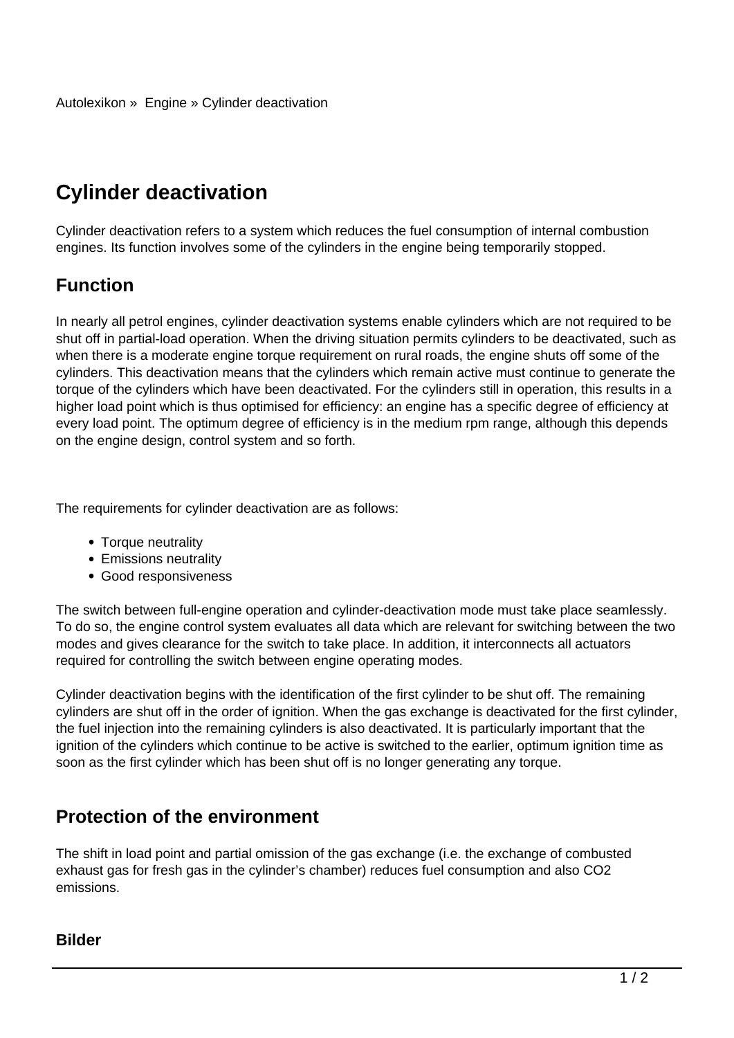## **Cylinder deactivation**

Cylinder deactivation refers to a system which reduces the fuel consumption of internal combustion engines. Its function involves some of the cylinders in the engine being temporarily stopped.

## **Function**

In nearly all petrol engines, cylinder deactivation systems enable cylinders which are not required to be shut off in partial-load operation. When the driving situation permits cylinders to be deactivated, such as when there is a moderate engine torque requirement on rural roads, the engine shuts off some of the cylinders. This deactivation means that the cylinders which remain active must continue to generate the torque of the cylinders which have been deactivated. For the cylinders still in operation, this results in a higher load point which is thus optimised for efficiency: an engine has a specific degree of efficiency at every load point. The optimum degree of efficiency is in the medium rpm range, although this depends on the engine design, control system and so forth.

The requirements for cylinder deactivation are as follows:

- Torque neutrality
- Emissions neutrality
- Good responsiveness

The switch between full-engine operation and cylinder-deactivation mode must take place seamlessly. To do so, the engine control system evaluates all data which are relevant for switching between the two modes and gives clearance for the switch to take place. In addition, it interconnects all actuators required for controlling the switch between engine operating modes.

Cylinder deactivation begins with the identification of the first cylinder to be shut off. The remaining cylinders are shut off in the order of ignition. When the gas exchange is deactivated for the first cylinder, the fuel injection into the remaining cylinders is also deactivated. It is particularly important that the ignition of the cylinders which continue to be active is switched to the earlier, optimum ignition time as soon as the first cylinder which has been shut off is no longer generating any torque.

## **Protection of the environment**

The shift in load point and partial omission of the gas exchange (i.e. the exchange of combusted exhaust gas for fresh gas in the cylinder's chamber) reduces fuel consumption and also CO2 emissions.

## **Bilder**